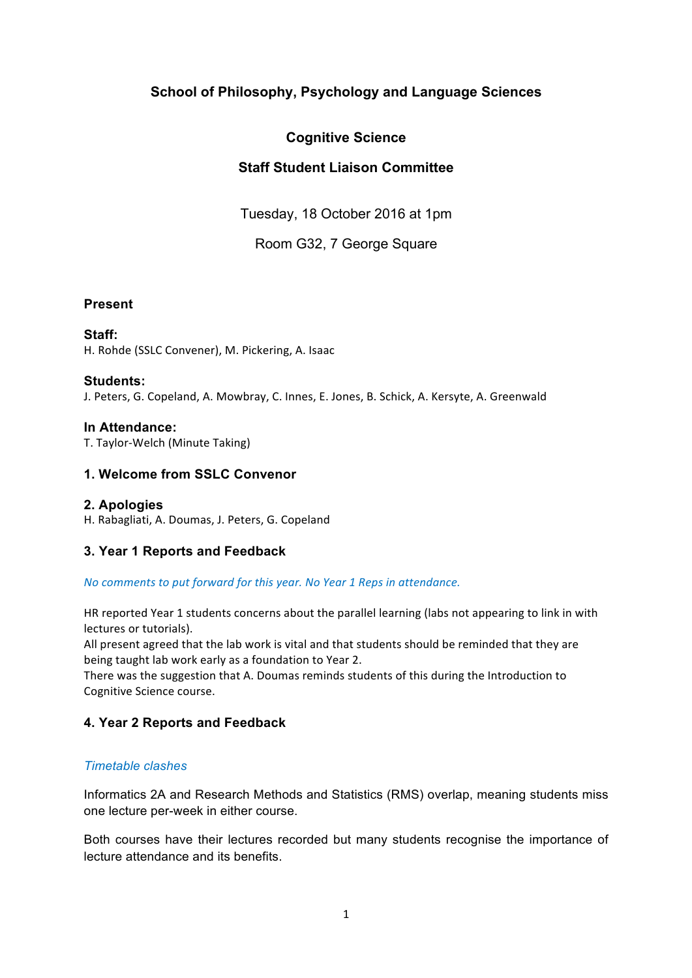# **School of Philosophy, Psychology and Language Sciences**

# **Cognitive Science**

# **Staff Student Liaison Committee**

Tuesday, 18 October 2016 at 1pm

Room G32, 7 George Square

## **Present**

## **Staff:**

H. Rohde (SSLC Convener), M. Pickering, A. Isaac

#### **Students:**

J. Peters, G. Copeland, A. Mowbray, C. Innes, E. Jones, B. Schick, A. Kersyte, A. Greenwald

#### **In Attendance:**

T. Taylor-Welch (Minute Taking)

# **1. Welcome from SSLC Convenor**

### **2. Apologies**

H. Rabagliati, A. Doumas, J. Peters, G. Copeland

### **3. Year 1 Reports and Feedback**

#### *No comments to put forward for this year. No Year 1 Reps in attendance.*

HR reported Year 1 students concerns about the parallel learning (labs not appearing to link in with lectures or tutorials).

All present agreed that the lab work is vital and that students should be reminded that they are being taught lab work early as a foundation to Year 2.

There was the suggestion that A. Doumas reminds students of this during the Introduction to Cognitive Science course.

# **4. Year 2 Reports and Feedback**

### *Timetable clashes*

Informatics 2A and Research Methods and Statistics (RMS) overlap, meaning students miss one lecture per-week in either course.

Both courses have their lectures recorded but many students recognise the importance of lecture attendance and its benefits.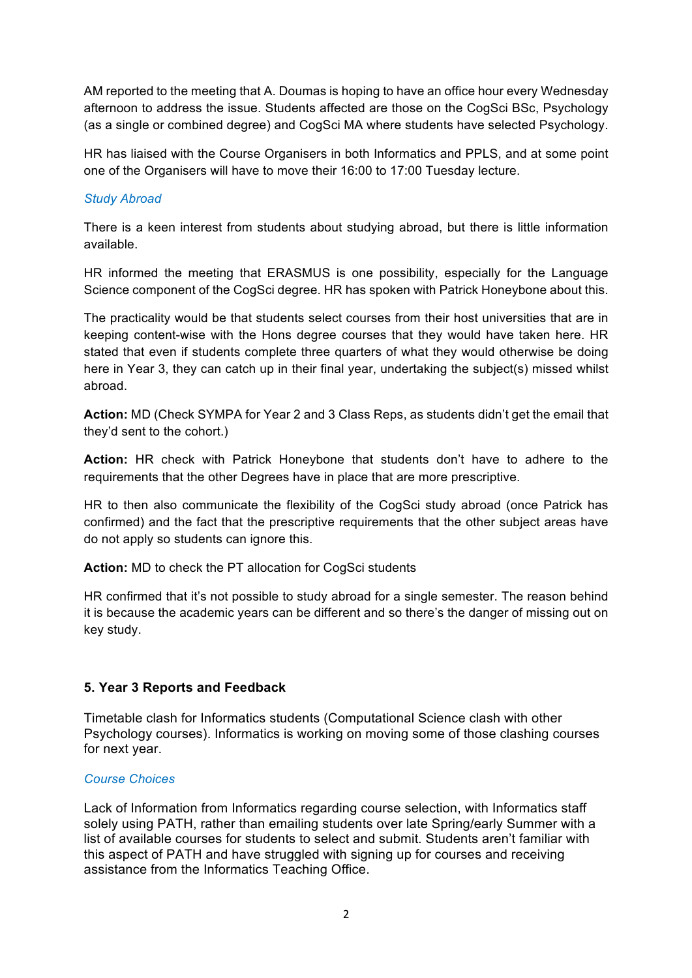AM reported to the meeting that A. Doumas is hoping to have an office hour every Wednesday afternoon to address the issue. Students affected are those on the CogSci BSc, Psychology (as a single or combined degree) and CogSci MA where students have selected Psychology.

HR has liaised with the Course Organisers in both Informatics and PPLS, and at some point one of the Organisers will have to move their 16:00 to 17:00 Tuesday lecture.

## *Study Abroad*

There is a keen interest from students about studying abroad, but there is little information available.

HR informed the meeting that ERASMUS is one possibility, especially for the Language Science component of the CogSci degree. HR has spoken with Patrick Honeybone about this.

The practicality would be that students select courses from their host universities that are in keeping content-wise with the Hons degree courses that they would have taken here. HR stated that even if students complete three quarters of what they would otherwise be doing here in Year 3, they can catch up in their final year, undertaking the subject(s) missed whilst abroad.

**Action:** MD (Check SYMPA for Year 2 and 3 Class Reps, as students didn't get the email that they'd sent to the cohort.)

**Action:** HR check with Patrick Honeybone that students don't have to adhere to the requirements that the other Degrees have in place that are more prescriptive.

HR to then also communicate the flexibility of the CogSci study abroad (once Patrick has confirmed) and the fact that the prescriptive requirements that the other subject areas have do not apply so students can ignore this.

**Action:** MD to check the PT allocation for CogSci students

HR confirmed that it's not possible to study abroad for a single semester. The reason behind it is because the academic years can be different and so there's the danger of missing out on key study.

# **5. Year 3 Reports and Feedback**

Timetable clash for Informatics students (Computational Science clash with other Psychology courses). Informatics is working on moving some of those clashing courses for next year.

### *Course Choices*

Lack of Information from Informatics regarding course selection, with Informatics staff solely using PATH, rather than emailing students over late Spring/early Summer with a list of available courses for students to select and submit. Students aren't familiar with this aspect of PATH and have struggled with signing up for courses and receiving assistance from the Informatics Teaching Office.